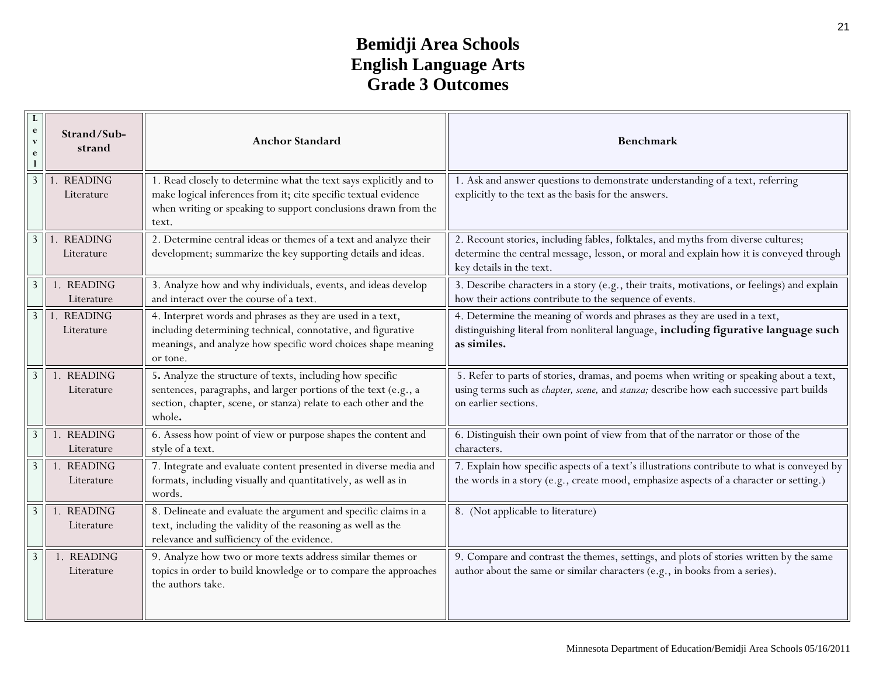## **Bemidji Area Schools English Language Arts Grade 3 Outcomes**

| e<br>$\overline{\mathbf{v}}$<br>e | Strand/Sub-<br>strand        | <b>Anchor Standard</b>                                                                                                                                                                                          | Benchmark                                                                                                                                                                                                                          |
|-----------------------------------|------------------------------|-----------------------------------------------------------------------------------------------------------------------------------------------------------------------------------------------------------------|------------------------------------------------------------------------------------------------------------------------------------------------------------------------------------------------------------------------------------|
| 3                                 | <b>READING</b><br>Literature | 1. Read closely to determine what the text says explicitly and to<br>make logical inferences from it; cite specific textual evidence<br>when writing or speaking to support conclusions drawn from the<br>text. | 1. Ask and answer questions to demonstrate understanding of a text, referring<br>explicitly to the text as the basis for the answers.                                                                                              |
|                                   | <b>READING</b><br>Literature | 2. Determine central ideas or themes of a text and analyze their<br>development; summarize the key supporting details and ideas.                                                                                | 2. Recount stories, including fables, folktales, and myths from diverse cultures;<br>determine the central message, lesson, or moral and explain how it is conveyed through<br>key details in the text.                            |
| 3                                 | 1. READING<br>Literature     | 3. Analyze how and why individuals, events, and ideas develop<br>and interact over the course of a text.                                                                                                        | 3. Describe characters in a story (e.g., their traits, motivations, or feelings) and explain<br>how their actions contribute to the sequence of events.                                                                            |
| 3                                 | <b>READING</b><br>Literature | 4. Interpret words and phrases as they are used in a text,<br>including determining technical, connotative, and figurative<br>meanings, and analyze how specific word choices shape meaning<br>or tone.         | 4. Determine the meaning of words and phrases as they are used in a text,<br>distinguishing literal from nonliteral language, including figurative language such<br>as similes.                                                    |
| 3                                 | <b>READING</b><br>Literature | 5. Analyze the structure of texts, including how specific<br>sentences, paragraphs, and larger portions of the text (e.g., a<br>section, chapter, scene, or stanza) relate to each other and the<br>whole.      | 5. Refer to parts of stories, dramas, and poems when writing or speaking about a text,<br>using terms such as <i>chapter</i> , <i>scene</i> , and <i>stanza</i> ; describe how each successive part builds<br>on earlier sections. |
| $\overline{3}$                    | . READING<br>Literature      | 6. Assess how point of view or purpose shapes the content and<br>style of a text.                                                                                                                               | 6. Distinguish their own point of view from that of the narrator or those of the<br>characters.                                                                                                                                    |
| 3                                 | <b>READING</b><br>Literature | 7. Integrate and evaluate content presented in diverse media and<br>formats, including visually and quantitatively, as well as in<br>words.                                                                     | 7. Explain how specific aspects of a text's illustrations contribute to what is conveyed by<br>the words in a story (e.g., create mood, emphasize aspects of a character or setting.)                                              |
| $\overline{3}$                    | <b>READING</b><br>Literature | 8. Delineate and evaluate the argument and specific claims in a<br>text, including the validity of the reasoning as well as the<br>relevance and sufficiency of the evidence.                                   | 8. (Not applicable to literature)                                                                                                                                                                                                  |
| $\overline{3}$                    | 1. READING<br>Literature     | 9. Analyze how two or more texts address similar themes or<br>topics in order to build knowledge or to compare the approaches<br>the authors take.                                                              | 9. Compare and contrast the themes, settings, and plots of stories written by the same<br>author about the same or similar characters (e.g., in books from a series).                                                              |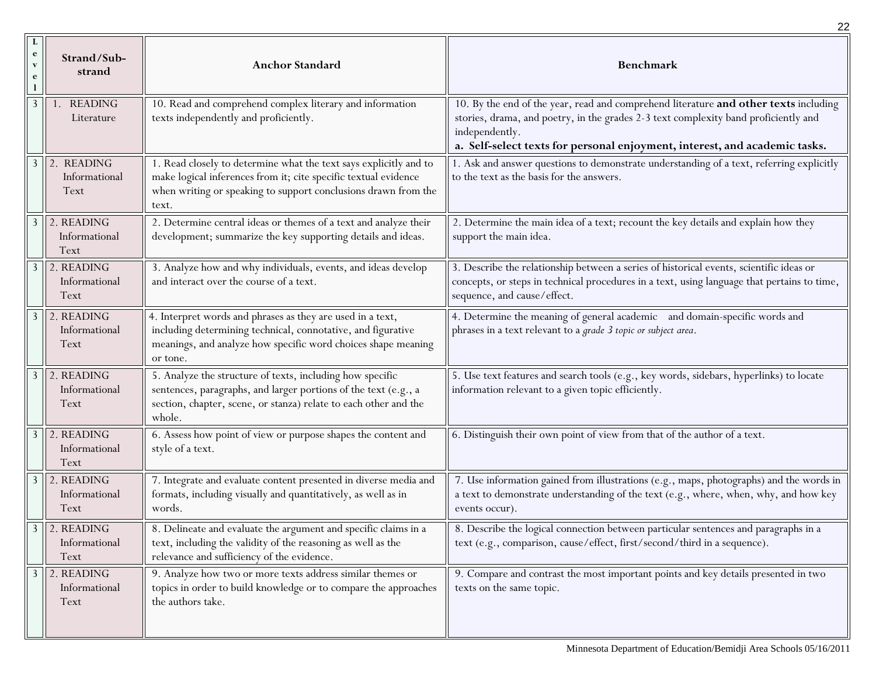|                                                               |                                               |                                                                                                                                                                                                                 | 22                                                                                                                                                                                                                                                                          |
|---------------------------------------------------------------|-----------------------------------------------|-----------------------------------------------------------------------------------------------------------------------------------------------------------------------------------------------------------------|-----------------------------------------------------------------------------------------------------------------------------------------------------------------------------------------------------------------------------------------------------------------------------|
| $\bf{L}$<br>$\mathbf{e}$<br>$\mathbf{v}$<br>$\mathbf e$<br>-1 | Strand/Sub-<br>strand                         | <b>Anchor Standard</b>                                                                                                                                                                                          | Benchmark                                                                                                                                                                                                                                                                   |
| $\mathfrak{Z}$                                                | <b>READING</b><br>Literature                  | 10. Read and comprehend complex literary and information<br>texts independently and proficiently.                                                                                                               | 10. By the end of the year, read and comprehend literature and other texts including<br>stories, drama, and poetry, in the grades 2-3 text complexity band proficiently and<br>independently.<br>a. Self-select texts for personal enjoyment, interest, and academic tasks. |
| $\mathbf{3}$                                                  | 2. READING<br>Informational<br>Text           | 1. Read closely to determine what the text says explicitly and to<br>make logical inferences from it; cite specific textual evidence<br>when writing or speaking to support conclusions drawn from the<br>text. | 1. Ask and answer questions to demonstrate understanding of a text, referring explicitly<br>to the text as the basis for the answers.                                                                                                                                       |
| $\overline{3}$                                                | $\vert$ 2. READING<br>Informational<br>Text   | 2. Determine central ideas or themes of a text and analyze their<br>development; summarize the key supporting details and ideas.                                                                                | 2. Determine the main idea of a text; recount the key details and explain how they<br>support the main idea.                                                                                                                                                                |
| $\overline{3}$                                                | 2. READING<br>Informational<br>Text           | 3. Analyze how and why individuals, events, and ideas develop<br>and interact over the course of a text.                                                                                                        | 3. Describe the relationship between a series of historical events, scientific ideas or<br>concepts, or steps in technical procedures in a text, using language that pertains to time,<br>sequence, and cause/effect.                                                       |
|                                                               | $3$   2. READING<br>Informational<br>Text     | 4. Interpret words and phrases as they are used in a text,<br>including determining technical, connotative, and figurative<br>meanings, and analyze how specific word choices shape meaning<br>or tone.         | 4. Determine the meaning of general academic and domain-specific words and<br>phrases in a text relevant to a grade 3 topic or subject area.                                                                                                                                |
| $\mathbf{3}$                                                  | $\sqrt{2}$ . READING<br>Informational<br>Text | 5. Analyze the structure of texts, including how specific<br>sentences, paragraphs, and larger portions of the text (e.g., a<br>section, chapter, scene, or stanza) relate to each other and the<br>whole.      | 5. Use text features and search tools (e.g., key words, sidebars, hyperlinks) to locate<br>information relevant to a given topic efficiently.                                                                                                                               |
| $\overline{3}$                                                | 2. READING<br>Informational<br>Text           | 6. Assess how point of view or purpose shapes the content and<br>style of a text.                                                                                                                               | 6. Distinguish their own point of view from that of the author of a text.                                                                                                                                                                                                   |
| $\mathbf{3}$                                                  | $\vert$ 2. READING<br>Informational<br>Text   | 7. Integrate and evaluate content presented in diverse media and<br>formats, including visually and quantitatively, as well as in<br>words.                                                                     | 7. Use information gained from illustrations (e.g., maps, photographs) and the words in<br>a text to demonstrate understanding of the text (e.g., where, when, why, and how key<br>events occur).                                                                           |
|                                                               | $3$ 2. READING<br>Informational<br>Text       | 8. Delineate and evaluate the argument and specific claims in a<br>text, including the validity of the reasoning as well as the<br>relevance and sufficiency of the evidence.                                   | 8. Describe the logical connection between particular sentences and paragraphs in a<br>text (e.g., comparison, cause/effect, first/second/third in a sequence).                                                                                                             |
| 3                                                             | 2. READING<br>Informational<br>Text           | 9. Analyze how two or more texts address similar themes or<br>topics in order to build knowledge or to compare the approaches<br>the authors take.                                                              | 9. Compare and contrast the most important points and key details presented in two<br>texts on the same topic.                                                                                                                                                              |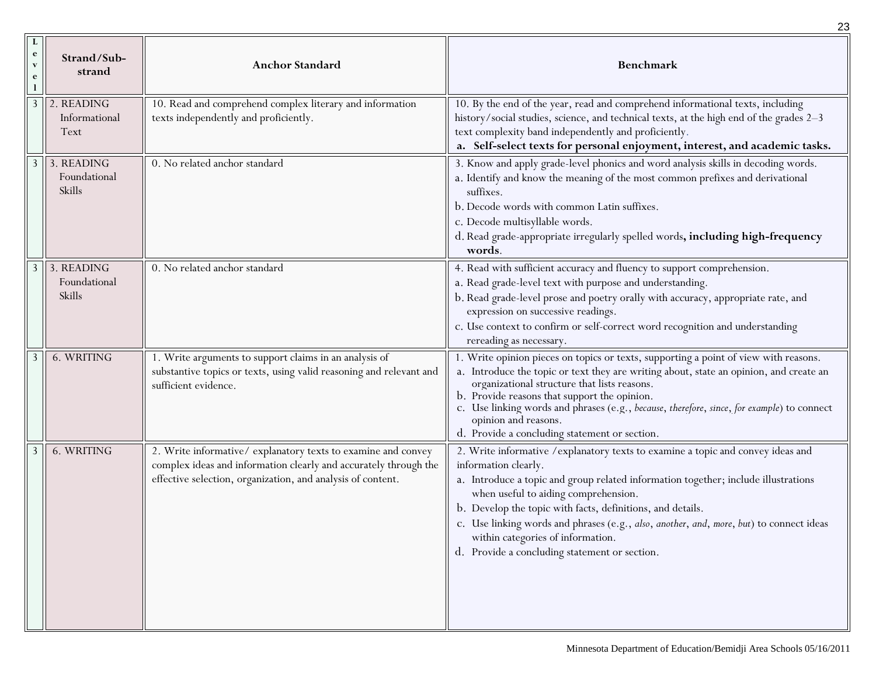|                                                   |                                        |                                                                                                                                                                                                 | 23                                                                                                                                                                                                                                                                                                                                                                                                                                                                                    |
|---------------------------------------------------|----------------------------------------|-------------------------------------------------------------------------------------------------------------------------------------------------------------------------------------------------|---------------------------------------------------------------------------------------------------------------------------------------------------------------------------------------------------------------------------------------------------------------------------------------------------------------------------------------------------------------------------------------------------------------------------------------------------------------------------------------|
| L<br>$\mathbf{e}$<br>$\mathbf{v}$<br>$\mathbf{e}$ | Strand/Sub-<br>strand                  | <b>Anchor Standard</b>                                                                                                                                                                          | <b>Benchmark</b>                                                                                                                                                                                                                                                                                                                                                                                                                                                                      |
| 3                                                 | 2. READING<br>Informational<br>Text    | 10. Read and comprehend complex literary and information<br>texts independently and proficiently.                                                                                               | 10. By the end of the year, read and comprehend informational texts, including<br>history/social studies, science, and technical texts, at the high end of the grades 2-3<br>text complexity band independently and proficiently.<br>a. Self-select texts for personal enjoyment, interest, and academic tasks.                                                                                                                                                                       |
|                                                   | 3 3. READING<br>Foundational<br>Skills | 0. No related anchor standard                                                                                                                                                                   | 3. Know and apply grade-level phonics and word analysis skills in decoding words.<br>a. Identify and know the meaning of the most common prefixes and derivational<br>suffixes.<br>b. Decode words with common Latin suffixes.<br>c. Decode multisyllable words.<br>d. Read grade-appropriate irregularly spelled words, including high-frequency<br>words.                                                                                                                           |
| 3                                                 | 3. READING<br>Foundational<br>Skills   | 0. No related anchor standard                                                                                                                                                                   | 4. Read with sufficient accuracy and fluency to support comprehension.<br>a. Read grade-level text with purpose and understanding.<br>b. Read grade-level prose and poetry orally with accuracy, appropriate rate, and<br>expression on successive readings.<br>c. Use context to confirm or self-correct word recognition and understanding<br>rereading as necessary.                                                                                                               |
|                                                   | 6. WRITING                             | 1. Write arguments to support claims in an analysis of<br>substantive topics or texts, using valid reasoning and relevant and<br>sufficient evidence.                                           | 1. Write opinion pieces on topics or texts, supporting a point of view with reasons.<br>a. Introduce the topic or text they are writing about, state an opinion, and create an<br>organizational structure that lists reasons.<br>b. Provide reasons that support the opinion.<br>c. Use linking words and phrases (e.g., because, therefore, since, for example) to connect<br>opinion and reasons.<br>d. Provide a concluding statement or section.                                 |
|                                                   | 6. WRITING                             | 2. Write informative/explanatory texts to examine and convey<br>complex ideas and information clearly and accurately through the<br>effective selection, organization, and analysis of content. | 2. Write informative / explanatory texts to examine a topic and convey ideas and<br>information clearly.<br>a. Introduce a topic and group related information together; include illustrations<br>when useful to aiding comprehension.<br>b. Develop the topic with facts, definitions, and details.<br>c. Use linking words and phrases (e.g., also, another, and, more, but) to connect ideas<br>within categories of information.<br>d. Provide a concluding statement or section. |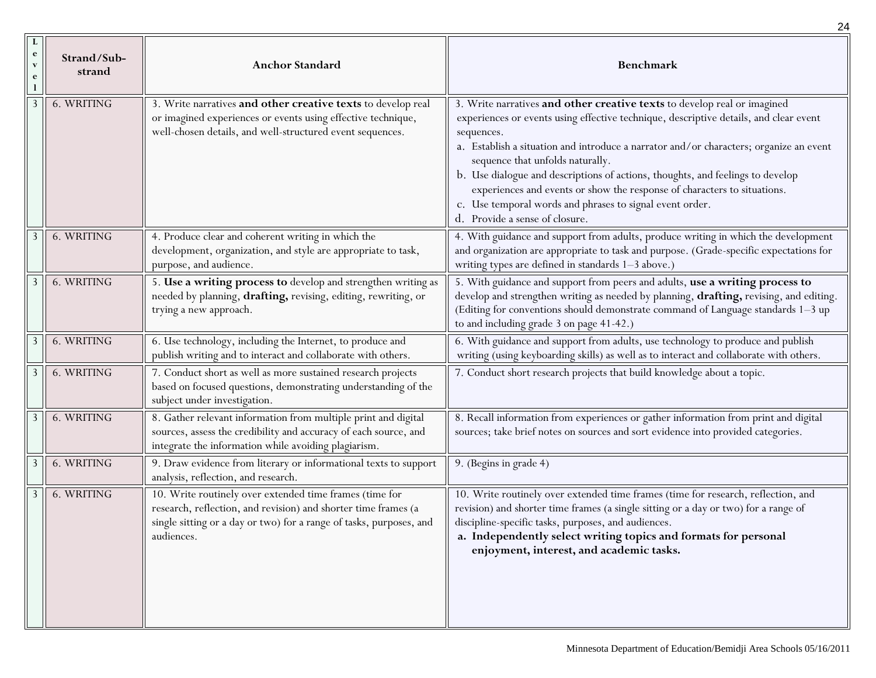|                                   |                       |                                                                                                                                                                                                                | 24                                                                                                                                                                                                                                                                                                                                                                                                                                                                                                                                                                        |
|-----------------------------------|-----------------------|----------------------------------------------------------------------------------------------------------------------------------------------------------------------------------------------------------------|---------------------------------------------------------------------------------------------------------------------------------------------------------------------------------------------------------------------------------------------------------------------------------------------------------------------------------------------------------------------------------------------------------------------------------------------------------------------------------------------------------------------------------------------------------------------------|
| $\mathbf{e}$<br>$\mathbf{V}$<br>e | Strand/Sub-<br>strand | <b>Anchor Standard</b>                                                                                                                                                                                         | <b>Benchmark</b>                                                                                                                                                                                                                                                                                                                                                                                                                                                                                                                                                          |
| 3                                 | 6. WRITING            | 3. Write narratives and other creative texts to develop real<br>or imagined experiences or events using effective technique,<br>well-chosen details, and well-structured event sequences.                      | 3. Write narratives and other creative texts to develop real or imagined<br>experiences or events using effective technique, descriptive details, and clear event<br>sequences.<br>a. Establish a situation and introduce a narrator and/or characters; organize an event<br>sequence that unfolds naturally.<br>b. Use dialogue and descriptions of actions, thoughts, and feelings to develop<br>experiences and events or show the response of characters to situations.<br>c. Use temporal words and phrases to signal event order.<br>d. Provide a sense of closure. |
| 3                                 | 6. WRITING            | 4. Produce clear and coherent writing in which the<br>development, organization, and style are appropriate to task,<br>purpose, and audience.                                                                  | 4. With guidance and support from adults, produce writing in which the development<br>and organization are appropriate to task and purpose. (Grade-specific expectations for<br>writing types are defined in standards 1-3 above.)                                                                                                                                                                                                                                                                                                                                        |
|                                   | 6. WRITING            | 5. Use a writing process to develop and strengthen writing as<br>needed by planning, drafting, revising, editing, rewriting, or<br>trying a new approach.                                                      | 5. With guidance and support from peers and adults, use a writing process to<br>develop and strengthen writing as needed by planning, drafting, revising, and editing.<br>(Editing for conventions should demonstrate command of Language standards 1-3 up<br>to and including grade 3 on page 41-42.)                                                                                                                                                                                                                                                                    |
| 3                                 | 6. WRITING            | 6. Use technology, including the Internet, to produce and<br>publish writing and to interact and collaborate with others.                                                                                      | 6. With guidance and support from adults, use technology to produce and publish<br>writing (using keyboarding skills) as well as to interact and collaborate with others.                                                                                                                                                                                                                                                                                                                                                                                                 |
| 3                                 | 6. WRITING            | 7. Conduct short as well as more sustained research projects<br>based on focused questions, demonstrating understanding of the<br>subject under investigation.                                                 | 7. Conduct short research projects that build knowledge about a topic.                                                                                                                                                                                                                                                                                                                                                                                                                                                                                                    |
| 3                                 | 6. WRITING            | 8. Gather relevant information from multiple print and digital<br>sources, assess the credibility and accuracy of each source, and<br>integrate the information while avoiding plagiarism.                     | 8. Recall information from experiences or gather information from print and digital<br>sources; take brief notes on sources and sort evidence into provided categories.                                                                                                                                                                                                                                                                                                                                                                                                   |
| 3                                 | 6. WRITING            | 9. Draw evidence from literary or informational texts to support<br>analysis, reflection, and research.                                                                                                        | 9. (Begins in grade 4)                                                                                                                                                                                                                                                                                                                                                                                                                                                                                                                                                    |
|                                   | 6. WRITING            | 10. Write routinely over extended time frames (time for<br>research, reflection, and revision) and shorter time frames (a<br>single sitting or a day or two) for a range of tasks, purposes, and<br>audiences. | 10. Write routinely over extended time frames (time for research, reflection, and<br>revision) and shorter time frames (a single sitting or a day or two) for a range of<br>discipline-specific tasks, purposes, and audiences.<br>a. Independently select writing topics and formats for personal<br>enjoyment, interest, and academic tasks.                                                                                                                                                                                                                            |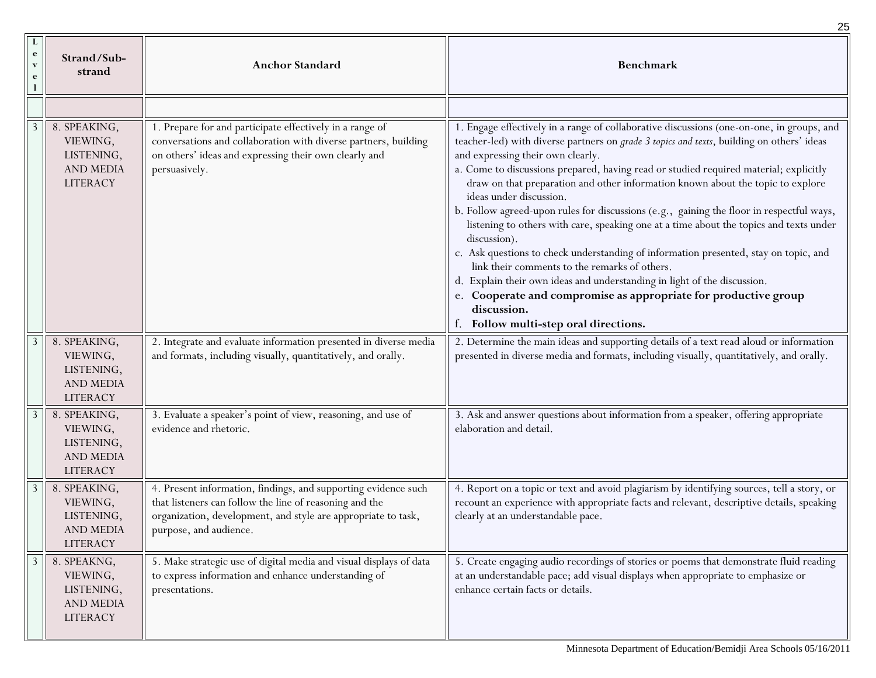| $\bf{L}$<br>$\mathbf{e}$<br>$\mathbf{v}$<br>e | Strand/Sub-<br>strand                                                         | <b>Anchor Standard</b>                                                                                                                                                                                               | <b>Benchmark</b>                                                                                                                                                                                                                                                                                                                                                                                                                                                                                                                                                                                                                                                                                                                                                                                                                                                                                                                                                                                 |
|-----------------------------------------------|-------------------------------------------------------------------------------|----------------------------------------------------------------------------------------------------------------------------------------------------------------------------------------------------------------------|--------------------------------------------------------------------------------------------------------------------------------------------------------------------------------------------------------------------------------------------------------------------------------------------------------------------------------------------------------------------------------------------------------------------------------------------------------------------------------------------------------------------------------------------------------------------------------------------------------------------------------------------------------------------------------------------------------------------------------------------------------------------------------------------------------------------------------------------------------------------------------------------------------------------------------------------------------------------------------------------------|
|                                               |                                                                               |                                                                                                                                                                                                                      |                                                                                                                                                                                                                                                                                                                                                                                                                                                                                                                                                                                                                                                                                                                                                                                                                                                                                                                                                                                                  |
|                                               | 8. SPEAKING,<br>VIEWING,<br>LISTENING,<br><b>AND MEDIA</b><br><b>LITERACY</b> | 1. Prepare for and participate effectively in a range of<br>conversations and collaboration with diverse partners, building<br>on others' ideas and expressing their own clearly and<br>persuasively.                | 1. Engage effectively in a range of collaborative discussions (one-on-one, in groups, and<br>teacher-led) with diverse partners on <i>grade 3 topics and texts</i> , building on others' ideas<br>and expressing their own clearly.<br>a. Come to discussions prepared, having read or studied required material; explicitly<br>draw on that preparation and other information known about the topic to explore<br>ideas under discussion.<br>b. Follow agreed-upon rules for discussions (e.g., gaining the floor in respectful ways,<br>listening to others with care, speaking one at a time about the topics and texts under<br>discussion).<br>c. Ask questions to check understanding of information presented, stay on topic, and<br>link their comments to the remarks of others.<br>d. Explain their own ideas and understanding in light of the discussion.<br>e. Cooperate and compromise as appropriate for productive group<br>discussion.<br>f. Follow multi-step oral directions. |
| 3                                             | 8. SPEAKING,<br>VIEWING,<br>LISTENING,<br><b>AND MEDIA</b><br><b>LITERACY</b> | 2. Integrate and evaluate information presented in diverse media<br>and formats, including visually, quantitatively, and orally.                                                                                     | 2. Determine the main ideas and supporting details of a text read aloud or information<br>presented in diverse media and formats, including visually, quantitatively, and orally.                                                                                                                                                                                                                                                                                                                                                                                                                                                                                                                                                                                                                                                                                                                                                                                                                |
| 3                                             | 8. SPEAKING,<br>VIEWING,<br>LISTENING,<br><b>AND MEDIA</b><br><b>LITERACY</b> | 3. Evaluate a speaker's point of view, reasoning, and use of<br>evidence and rhetoric.                                                                                                                               | 3. Ask and answer questions about information from a speaker, offering appropriate<br>elaboration and detail.                                                                                                                                                                                                                                                                                                                                                                                                                                                                                                                                                                                                                                                                                                                                                                                                                                                                                    |
| 3                                             | 8. SPEAKING,<br>VIEWING,<br>LISTENING,<br><b>AND MEDIA</b><br><b>LITERACY</b> | 4. Present information, findings, and supporting evidence such<br>that listeners can follow the line of reasoning and the<br>organization, development, and style are appropriate to task,<br>purpose, and audience. | 4. Report on a topic or text and avoid plagiarism by identifying sources, tell a story, or<br>recount an experience with appropriate facts and relevant, descriptive details, speaking<br>clearly at an understandable pace.                                                                                                                                                                                                                                                                                                                                                                                                                                                                                                                                                                                                                                                                                                                                                                     |
| 3                                             | 8. SPEAKNG,<br>VIEWING,<br>LISTENING,<br><b>AND MEDIA</b><br><b>LITERACY</b>  | 5. Make strategic use of digital media and visual displays of data<br>to express information and enhance understanding of<br>presentations.                                                                          | 5. Create engaging audio recordings of stories or poems that demonstrate fluid reading<br>at an understandable pace; add visual displays when appropriate to emphasize or<br>enhance certain facts or details.                                                                                                                                                                                                                                                                                                                                                                                                                                                                                                                                                                                                                                                                                                                                                                                   |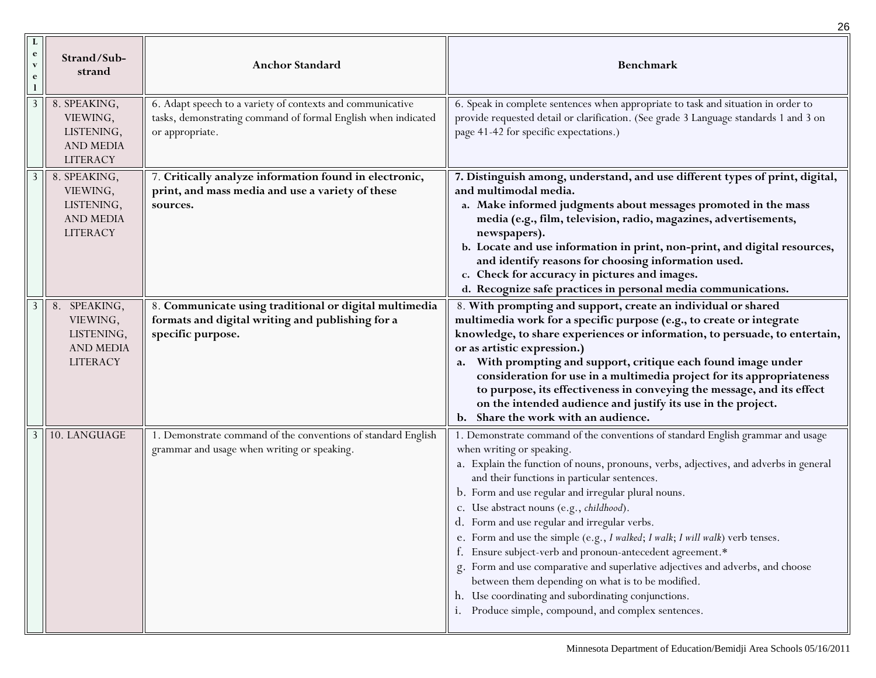|                                               |                                                                               |                                                                                                                                                | 26                                                                                                                                                                                                                                                                                                                                                                                                                                                                                                                                                                                                                                                                                                                                                                                                                   |
|-----------------------------------------------|-------------------------------------------------------------------------------|------------------------------------------------------------------------------------------------------------------------------------------------|----------------------------------------------------------------------------------------------------------------------------------------------------------------------------------------------------------------------------------------------------------------------------------------------------------------------------------------------------------------------------------------------------------------------------------------------------------------------------------------------------------------------------------------------------------------------------------------------------------------------------------------------------------------------------------------------------------------------------------------------------------------------------------------------------------------------|
| $\bf{L}$<br>$\mathbf{e}$<br>$\mathbf{v}$<br>e | Strand/Sub-<br>strand                                                         | <b>Anchor Standard</b>                                                                                                                         | <b>Benchmark</b>                                                                                                                                                                                                                                                                                                                                                                                                                                                                                                                                                                                                                                                                                                                                                                                                     |
| 3                                             | 8. SPEAKING,<br>VIEWING,<br>LISTENING,<br><b>AND MEDIA</b><br><b>LITERACY</b> | 6. Adapt speech to a variety of contexts and communicative<br>tasks, demonstrating command of formal English when indicated<br>or appropriate. | 6. Speak in complete sentences when appropriate to task and situation in order to<br>provide requested detail or clarification. (See grade 3 Language standards 1 and 3 on<br>page 41-42 for specific expectations.)                                                                                                                                                                                                                                                                                                                                                                                                                                                                                                                                                                                                 |
|                                               | 8. SPEAKING,<br>VIEWING,<br>LISTENING,<br><b>AND MEDIA</b><br><b>LITERACY</b> | 7. Critically analyze information found in electronic,<br>print, and mass media and use a variety of these<br>sources.                         | 7. Distinguish among, understand, and use different types of print, digital,<br>and multimodal media.<br>a. Make informed judgments about messages promoted in the mass<br>media (e.g., film, television, radio, magazines, advertisements,<br>newspapers).<br>b. Locate and use information in print, non-print, and digital resources,<br>and identify reasons for choosing information used.<br>c. Check for accuracy in pictures and images.<br>d. Recognize safe practices in personal media communications.                                                                                                                                                                                                                                                                                                    |
| 3                                             | 8. SPEAKING,<br>VIEWING,<br>LISTENING,<br><b>AND MEDIA</b><br><b>LITERACY</b> | 8. Communicate using traditional or digital multimedia<br>formats and digital writing and publishing for a<br>specific purpose.                | 8. With prompting and support, create an individual or shared<br>multimedia work for a specific purpose (e.g., to create or integrate<br>knowledge, to share experiences or information, to persuade, to entertain,<br>or as artistic expression.)<br>With prompting and support, critique each found image under<br>a.<br>consideration for use in a multimedia project for its appropriateness<br>to purpose, its effectiveness in conveying the message, and its effect<br>on the intended audience and justify its use in the project.<br>b. Share the work with an audience.                                                                                                                                                                                                                                    |
| $3 \parallel$                                 | 10. LANGUAGE                                                                  | 1. Demonstrate command of the conventions of standard English<br>grammar and usage when writing or speaking.                                   | 1. Demonstrate command of the conventions of standard English grammar and usage<br>when writing or speaking.<br>a. Explain the function of nouns, pronouns, verbs, adjectives, and adverbs in general<br>and their functions in particular sentences.<br>b. Form and use regular and irregular plural nouns.<br>c. Use abstract nouns (e.g., childhood).<br>d. Form and use regular and irregular verbs.<br>e. Form and use the simple (e.g., I walked; I walk; I will walk) verb tenses.<br>Ensure subject-verb and pronoun-antecedent agreement.*<br>f.<br>Form and use comparative and superlative adjectives and adverbs, and choose<br>g.<br>between them depending on what is to be modified.<br>h. Use coordinating and subordinating conjunctions.<br>Produce simple, compound, and complex sentences.<br>1. |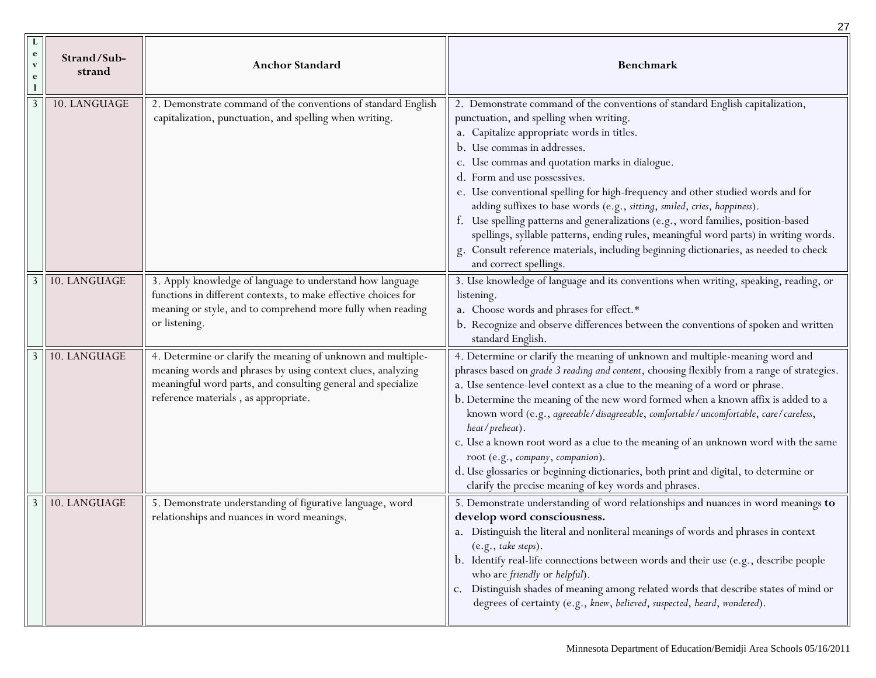|                                                            |                                                                                                                                                                                                                                     | 27                                                                                                                                                                                                                                                                                                                                                                                                                                                                                                                                                                                                                                                                                                                                                    |
|------------------------------------------------------------|-------------------------------------------------------------------------------------------------------------------------------------------------------------------------------------------------------------------------------------|-------------------------------------------------------------------------------------------------------------------------------------------------------------------------------------------------------------------------------------------------------------------------------------------------------------------------------------------------------------------------------------------------------------------------------------------------------------------------------------------------------------------------------------------------------------------------------------------------------------------------------------------------------------------------------------------------------------------------------------------------------|
| $\mathbf{e}$<br>Strand/Sub-<br>$\mathbf{v}$<br>strand<br>e | <b>Anchor Standard</b>                                                                                                                                                                                                              | <b>Benchmark</b>                                                                                                                                                                                                                                                                                                                                                                                                                                                                                                                                                                                                                                                                                                                                      |
| 10. LANGUAGE                                               | 2. Demonstrate command of the conventions of standard English<br>capitalization, punctuation, and spelling when writing.                                                                                                            | 2. Demonstrate command of the conventions of standard English capitalization,<br>punctuation, and spelling when writing.<br>a. Capitalize appropriate words in titles.<br>b. Use commas in addresses.<br>c. Use commas and quotation marks in dialogue.<br>d. Form and use possessives.<br>e. Use conventional spelling for high-frequency and other studied words and for<br>adding suffixes to base words (e.g., sitting, smiled, cries, happiness).<br>f. Use spelling patterns and generalizations (e.g., word families, position-based<br>spellings, syllable patterns, ending rules, meaningful word parts) in writing words.<br>g. Consult reference materials, including beginning dictionaries, as needed to check<br>and correct spellings. |
| 10. LANGUAGE                                               | 3. Apply knowledge of language to understand how language<br>functions in different contexts, to make effective choices for<br>meaning or style, and to comprehend more fully when reading<br>or listening.                         | 3. Use knowledge of language and its conventions when writing, speaking, reading, or<br>listening.<br>a. Choose words and phrases for effect.*<br>b. Recognize and observe differences between the conventions of spoken and written<br>standard English.                                                                                                                                                                                                                                                                                                                                                                                                                                                                                             |
| 10. LANGUAGE<br>3 II                                       | 4. Determine or clarify the meaning of unknown and multiple-<br>meaning words and phrases by using context clues, analyzing<br>meaningful word parts, and consulting general and specialize<br>reference materials, as appropriate. | 4. Determine or clarify the meaning of unknown and multiple-meaning word and<br>phrases based on grade 3 reading and content, choosing flexibly from a range of strategies.<br>a. Use sentence-level context as a clue to the meaning of a word or phrase.<br>b. Determine the meaning of the new word formed when a known affix is added to a<br>known word (e.g., agreeable/disagreeable, comfortable/uncomfortable, care/careless,<br>heat/preheat).<br>c. Use a known root word as a clue to the meaning of an unknown word with the same<br>root (e.g., company, companion).<br>d. Use glossaries or beginning dictionaries, both print and digital, to determine or<br>clarify the precise meaning of key words and phrases.                    |
| 10. LANGUAGE<br>3                                          | 5. Demonstrate understanding of figurative language, word<br>$\rm relations$ and nuances in word meanings.                                                                                                                          | 5. Demonstrate understanding of word relationships and nuances in word meanings to<br>develop word consciousness.<br>a. Distinguish the literal and nonliteral meanings of words and phrases in context<br>(e.g., take steps).<br>b. Identify real-life connections between words and their use (e.g., describe people<br>who are friendly or helpful).<br>c. Distinguish shades of meaning among related words that describe states of mind or<br>degrees of certainty (e.g., knew, believed, suspected, heard, wondered).                                                                                                                                                                                                                           |